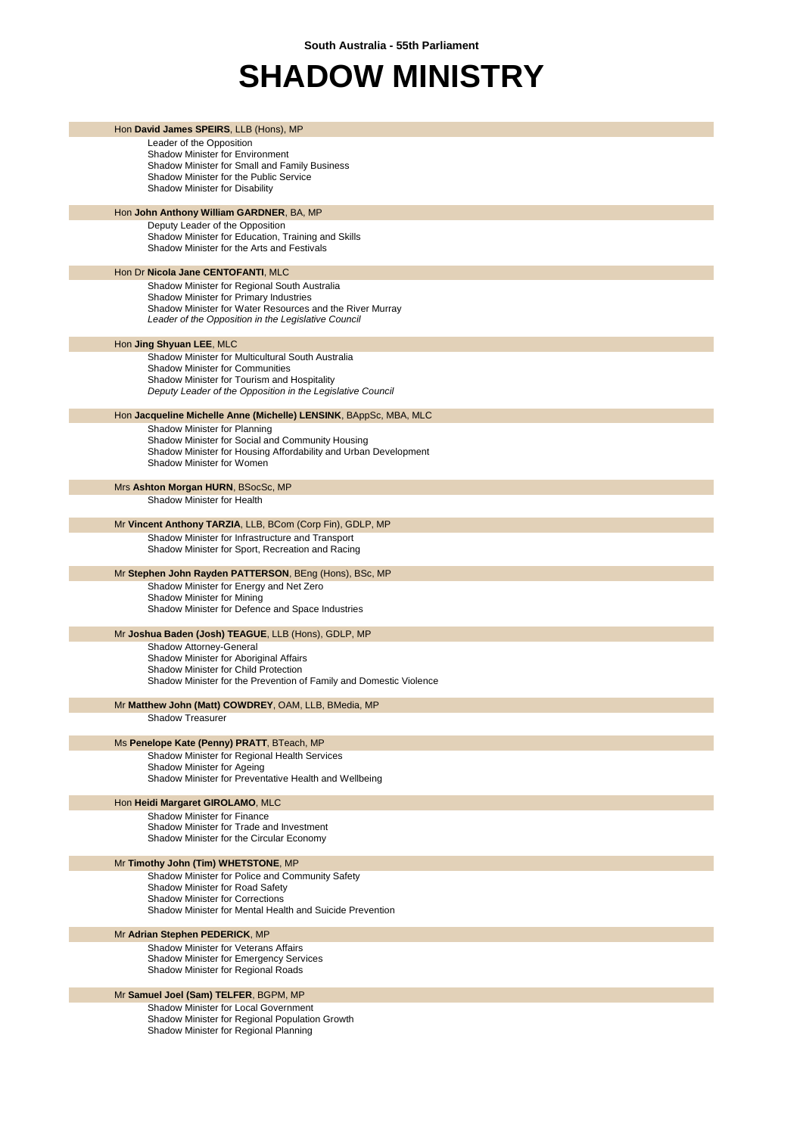## **SHADOW MINISTRY**

| Hon David James SPEIRS, LLB (Hons), MP                                                                              |
|---------------------------------------------------------------------------------------------------------------------|
| Leader of the Opposition                                                                                            |
| Shadow Minister for Environment<br>Shadow Minister for Small and Family Business                                    |
| Shadow Minister for the Public Service                                                                              |
| Shadow Minister for Disability                                                                                      |
|                                                                                                                     |
| Hon John Anthony William GARDNER, BA, MP<br>Deputy Leader of the Opposition                                         |
| Shadow Minister for Education, Training and Skills                                                                  |
| Shadow Minister for the Arts and Festivals                                                                          |
|                                                                                                                     |
| Hon Dr Nicola Jane CENTOFANTI, MLC<br>Shadow Minister for Regional South Australia                                  |
| Shadow Minister for Primary Industries                                                                              |
| Shadow Minister for Water Resources and the River Murray                                                            |
| Leader of the Opposition in the Legislative Council                                                                 |
| Hon Jing Shyuan LEE, MLC                                                                                            |
| Shadow Minister for Multicultural South Australia                                                                   |
| <b>Shadow Minister for Communities</b>                                                                              |
| Shadow Minister for Tourism and Hospitality                                                                         |
| Deputy Leader of the Opposition in the Legislative Council                                                          |
| Hon Jacqueline Michelle Anne (Michelle) LENSINK, BAppSc, MBA, MLC                                                   |
| Shadow Minister for Planning                                                                                        |
| Shadow Minister for Social and Community Housing<br>Shadow Minister for Housing Affordability and Urban Development |
| Shadow Minister for Women                                                                                           |
|                                                                                                                     |
| Mrs Ashton Morgan HURN, BSocSc, MP                                                                                  |
| Shadow Minister for Health                                                                                          |
| Mr Vincent Anthony TARZIA, LLB, BCom (Corp Fin), GDLP, MP                                                           |
| Shadow Minister for Infrastructure and Transport                                                                    |
| Shadow Minister for Sport, Recreation and Racing                                                                    |
| Mr Stephen John Rayden PATTERSON, BEng (Hons), BSc, MP                                                              |
| Shadow Minister for Energy and Net Zero                                                                             |
| Shadow Minister for Mining                                                                                          |
| Shadow Minister for Defence and Space Industries                                                                    |
| Mr Joshua Baden (Josh) TEAGUE, LLB (Hons), GDLP, MP                                                                 |
| Shadow Attorney-General                                                                                             |
| Shadow Minister for Aboriginal Affairs                                                                              |
| Shadow Minister for Child Protection<br>Shadow Minister for the Prevention of Family and Domestic Violence          |
|                                                                                                                     |
| Mr Matthew John (Matt) COWDREY, OAM, LLB, BMedia, MP                                                                |
| <b>Shadow Treasurer</b>                                                                                             |
| Ms Penelope Kate (Penny) PRATT, BTeach, MP                                                                          |
| Shadow Minister for Regional Health Services                                                                        |
| Shadow Minister for Ageing<br>Shadow Minister for Preventative Health and Wellbeing                                 |
|                                                                                                                     |
| Hon Heidi Margaret GIROLAMO, MLC                                                                                    |
| Shadow Minister for Finance                                                                                         |
| Shadow Minister for Trade and Investment<br>Shadow Minister for the Circular Economy                                |
|                                                                                                                     |
| Mr Timothy John (Tim) WHETSTONE, MP                                                                                 |
| Shadow Minister for Police and Community Safety<br>Shadow Minister for Road Safety                                  |
| <b>Shadow Minister for Corrections</b>                                                                              |
| Shadow Minister for Mental Health and Suicide Prevention                                                            |
|                                                                                                                     |
| Mr Adrian Stephen PEDERICK, MP<br>Shadow Minister for Veterans Affairs                                              |
| <b>Shadow Minister for Emergency Services</b>                                                                       |
| Shadow Minister for Regional Roads                                                                                  |
| Mr Samuel Joel (Sam) TELFER, BGPM, MP                                                                               |
| Shadow Minister for Local Government                                                                                |
| Shadow Minister for Regional Population Growth                                                                      |

Shadow Minister for Regional Planning